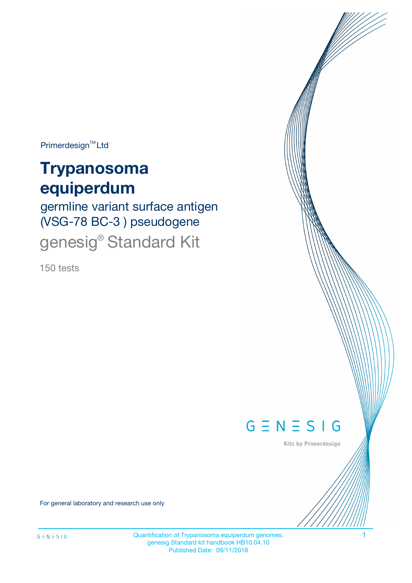Primerdesign<sup>™</sup>Ltd

# **Trypanosoma equiperdum**

germline variant surface antigen (VSG-78 BC-3 ) pseudogene genesig® Standard Kit

150 tests



Kits by Primerdesign

For general laboratory and research use only

Quantification of Trypanosoma equiperdum genomes. 1 genesig Standard kit handbook HB10.04.10 Published Date: 09/11/2018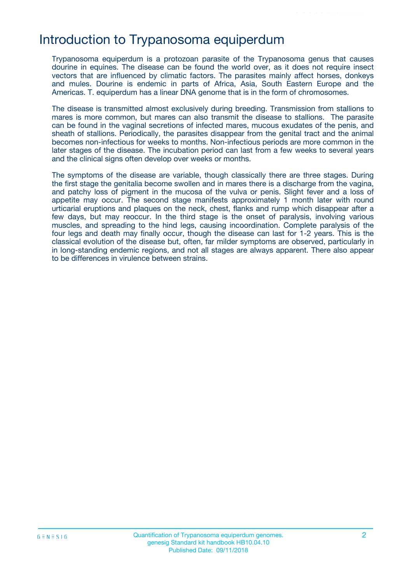## Introduction to Trypanosoma equiperdum

Trypanosoma equiperdum is a protozoan parasite of the Trypanosoma genus that causes dourine in equines. The disease can be found the world over, as it does not require insect vectors that are influenced by climatic factors. The parasites mainly affect horses, donkeys and mules. Dourine is endemic in parts of Africa, Asia, South Eastern Europe and the Americas. T. equiperdum has a linear DNA genome that is in the form of chromosomes.

The disease is transmitted almost exclusively during breeding. Transmission from stallions to mares is more common, but mares can also transmit the disease to stallions. The parasite can be found in the vaginal secretions of infected mares, mucous exudates of the penis, and sheath of stallions. Periodically, the parasites disappear from the genital tract and the animal becomes non-infectious for weeks to months. Non-infectious periods are more common in the later stages of the disease. The incubation period can last from a few weeks to several years and the clinical signs often develop over weeks or months.

The symptoms of the disease are variable, though classically there are three stages. During the first stage the genitalia become swollen and in mares there is a discharge from the vagina, and patchy loss of pigment in the mucosa of the vulva or penis. Slight fever and a loss of appetite may occur. The second stage manifests approximately 1 month later with round urticarial eruptions and plaques on the neck, chest, flanks and rump which disappear after a few days, but may reoccur. In the third stage is the onset of paralysis, involving various muscles, and spreading to the hind legs, causing incoordination. Complete paralysis of the four legs and death may finally occur, though the disease can last for 1-2 years. This is the classical evolution of the disease but, often, far milder symptoms are observed, particularly in in long-standing endemic regions, and not all stages are always apparent. There also appear to be differences in virulence between strains.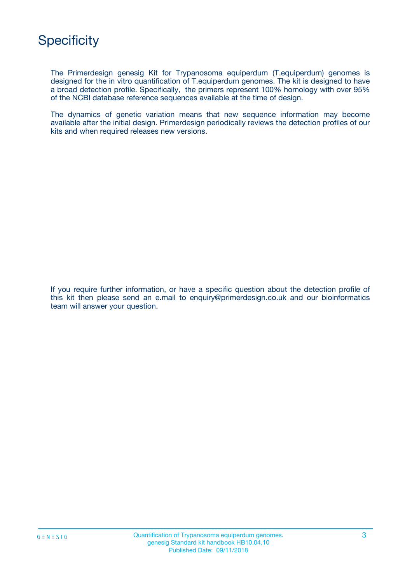

The Primerdesign genesig Kit for Trypanosoma equiperdum (T.equiperdum) genomes is designed for the in vitro quantification of T.equiperdum genomes. The kit is designed to have a broad detection profile. Specifically, the primers represent 100% homology with over 95% of the NCBI database reference sequences available at the time of design.

The dynamics of genetic variation means that new sequence information may become available after the initial design. Primerdesign periodically reviews the detection profiles of our kits and when required releases new versions.

If you require further information, or have a specific question about the detection profile of this kit then please send an e.mail to enquiry@primerdesign.co.uk and our bioinformatics team will answer your question.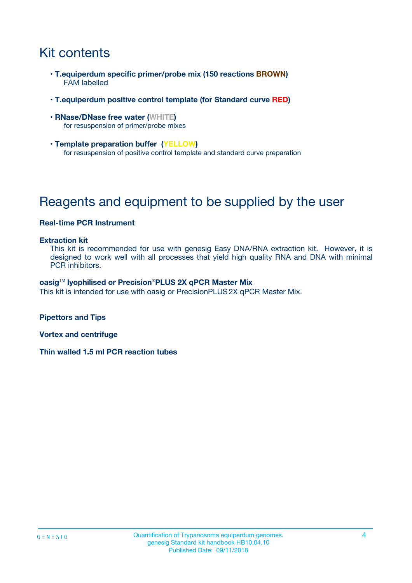## Kit contents

- **T.equiperdum specific primer/probe mix (150 reactions BROWN)** FAM labelled
- **T.equiperdum positive control template (for Standard curve RED)**
- **RNase/DNase free water (WHITE)** for resuspension of primer/probe mixes
- **Template preparation buffer (YELLOW)** for resuspension of positive control template and standard curve preparation

## Reagents and equipment to be supplied by the user

#### **Real-time PCR Instrument**

#### **Extraction kit**

This kit is recommended for use with genesig Easy DNA/RNA extraction kit. However, it is designed to work well with all processes that yield high quality RNA and DNA with minimal PCR inhibitors.

#### **oasig**TM **lyophilised or Precision**®**PLUS 2X qPCR Master Mix**

This kit is intended for use with oasig or PrecisionPLUS2X qPCR Master Mix.

**Pipettors and Tips**

**Vortex and centrifuge**

**Thin walled 1.5 ml PCR reaction tubes**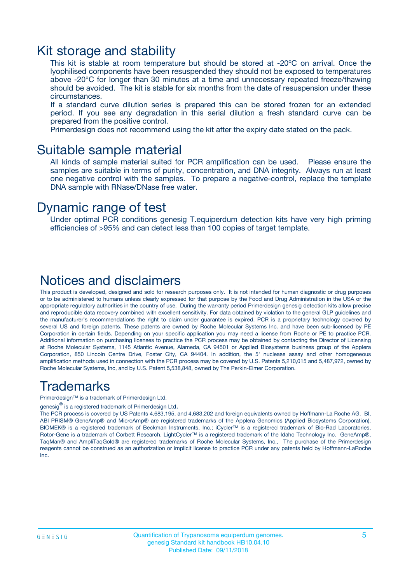### Kit storage and stability

This kit is stable at room temperature but should be stored at -20ºC on arrival. Once the lyophilised components have been resuspended they should not be exposed to temperatures above -20°C for longer than 30 minutes at a time and unnecessary repeated freeze/thawing should be avoided. The kit is stable for six months from the date of resuspension under these circumstances.

If a standard curve dilution series is prepared this can be stored frozen for an extended period. If you see any degradation in this serial dilution a fresh standard curve can be prepared from the positive control.

Primerdesign does not recommend using the kit after the expiry date stated on the pack.

### Suitable sample material

All kinds of sample material suited for PCR amplification can be used. Please ensure the samples are suitable in terms of purity, concentration, and DNA integrity. Always run at least one negative control with the samples. To prepare a negative-control, replace the template DNA sample with RNase/DNase free water.

### Dynamic range of test

Under optimal PCR conditions genesig T.equiperdum detection kits have very high priming efficiencies of >95% and can detect less than 100 copies of target template.

### Notices and disclaimers

This product is developed, designed and sold for research purposes only. It is not intended for human diagnostic or drug purposes or to be administered to humans unless clearly expressed for that purpose by the Food and Drug Administration in the USA or the appropriate regulatory authorities in the country of use. During the warranty period Primerdesign genesig detection kits allow precise and reproducible data recovery combined with excellent sensitivity. For data obtained by violation to the general GLP guidelines and the manufacturer's recommendations the right to claim under guarantee is expired. PCR is a proprietary technology covered by several US and foreign patents. These patents are owned by Roche Molecular Systems Inc. and have been sub-licensed by PE Corporation in certain fields. Depending on your specific application you may need a license from Roche or PE to practice PCR. Additional information on purchasing licenses to practice the PCR process may be obtained by contacting the Director of Licensing at Roche Molecular Systems, 1145 Atlantic Avenue, Alameda, CA 94501 or Applied Biosystems business group of the Applera Corporation, 850 Lincoln Centre Drive, Foster City, CA 94404. In addition, the 5' nuclease assay and other homogeneous amplification methods used in connection with the PCR process may be covered by U.S. Patents 5,210,015 and 5,487,972, owned by Roche Molecular Systems, Inc, and by U.S. Patent 5,538,848, owned by The Perkin-Elmer Corporation.

### Trademarks

Primerdesign™ is a trademark of Primerdesign Ltd.

genesig $^\circledR$  is a registered trademark of Primerdesign Ltd.

The PCR process is covered by US Patents 4,683,195, and 4,683,202 and foreign equivalents owned by Hoffmann-La Roche AG. BI, ABI PRISM® GeneAmp® and MicroAmp® are registered trademarks of the Applera Genomics (Applied Biosystems Corporation). BIOMEK® is a registered trademark of Beckman Instruments, Inc.; iCycler™ is a registered trademark of Bio-Rad Laboratories, Rotor-Gene is a trademark of Corbett Research. LightCycler™ is a registered trademark of the Idaho Technology Inc. GeneAmp®, TaqMan® and AmpliTaqGold® are registered trademarks of Roche Molecular Systems, Inc., The purchase of the Primerdesign reagents cannot be construed as an authorization or implicit license to practice PCR under any patents held by Hoffmann-LaRoche Inc.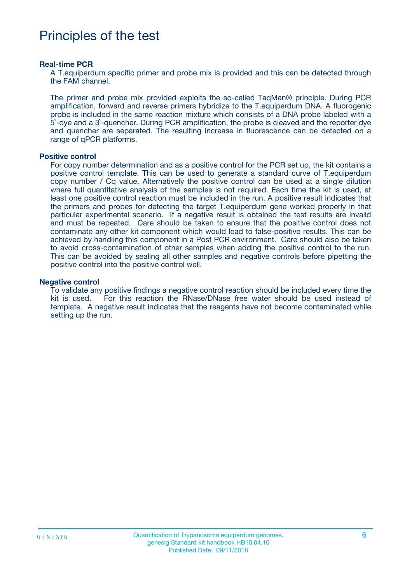## Principles of the test

#### **Real-time PCR**

A T.equiperdum specific primer and probe mix is provided and this can be detected through the FAM channel.

The primer and probe mix provided exploits the so-called TaqMan® principle. During PCR amplification, forward and reverse primers hybridize to the T.equiperdum DNA. A fluorogenic probe is included in the same reaction mixture which consists of a DNA probe labeled with a 5`-dye and a 3`-quencher. During PCR amplification, the probe is cleaved and the reporter dye and quencher are separated. The resulting increase in fluorescence can be detected on a range of qPCR platforms.

#### **Positive control**

For copy number determination and as a positive control for the PCR set up, the kit contains a positive control template. This can be used to generate a standard curve of T.equiperdum copy number / Cq value. Alternatively the positive control can be used at a single dilution where full quantitative analysis of the samples is not required. Each time the kit is used, at least one positive control reaction must be included in the run. A positive result indicates that the primers and probes for detecting the target T.equiperdum gene worked properly in that particular experimental scenario. If a negative result is obtained the test results are invalid and must be repeated. Care should be taken to ensure that the positive control does not contaminate any other kit component which would lead to false-positive results. This can be achieved by handling this component in a Post PCR environment. Care should also be taken to avoid cross-contamination of other samples when adding the positive control to the run. This can be avoided by sealing all other samples and negative controls before pipetting the positive control into the positive control well.

#### **Negative control**

To validate any positive findings a negative control reaction should be included every time the kit is used. For this reaction the RNase/DNase free water should be used instead of template. A negative result indicates that the reagents have not become contaminated while setting up the run.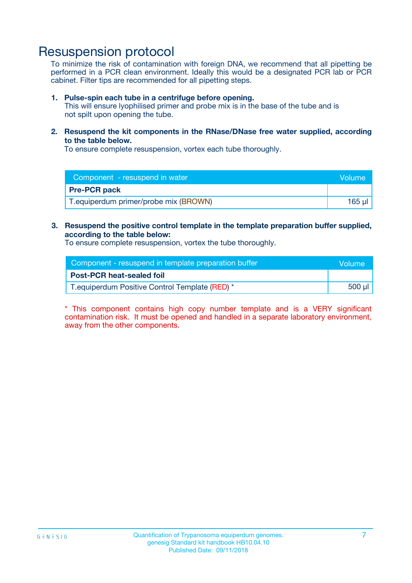### Resuspension protocol

To minimize the risk of contamination with foreign DNA, we recommend that all pipetting be performed in a PCR clean environment. Ideally this would be a designated PCR lab or PCR cabinet. Filter tips are recommended for all pipetting steps.

#### **1. Pulse-spin each tube in a centrifuge before opening.**

This will ensure lyophilised primer and probe mix is in the base of the tube and is not spilt upon opening the tube.

**2. Resuspend the kit components in the RNase/DNase free water supplied, according to the table below.**

To ensure complete resuspension, vortex each tube thoroughly.

| Component - resuspend in water         | Volume |
|----------------------------------------|--------|
| <b>Pre-PCR pack</b>                    |        |
| T. equiperdum primer/probe mix (BROWN) | 165 ul |

### **3. Resuspend the positive control template in the template preparation buffer supplied, according to the table below:**

To ensure complete resuspension, vortex the tube thoroughly.

| Component - resuspend in template preparation buffer |             |  |
|------------------------------------------------------|-------------|--|
| <b>Post-PCR heat-sealed foil</b>                     |             |  |
| T. equiperdum Positive Control Template (RED) *      | $500$ $\mu$ |  |

\* This component contains high copy number template and is a VERY significant contamination risk. It must be opened and handled in a separate laboratory environment, away from the other components.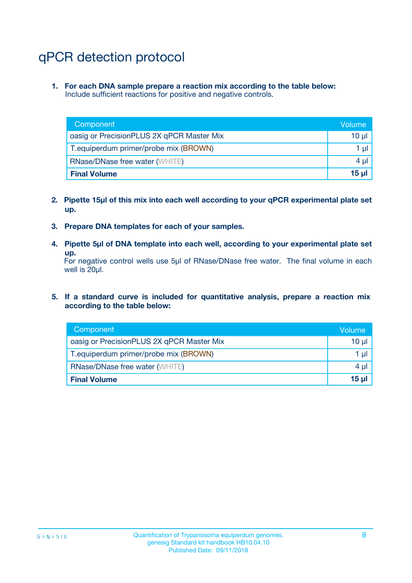## qPCR detection protocol

**1. For each DNA sample prepare a reaction mix according to the table below:** Include sufficient reactions for positive and negative controls.

| Component                                 | Volume   |
|-------------------------------------------|----------|
| oasig or PrecisionPLUS 2X qPCR Master Mix | 10 $\mu$ |
| T.equiperdum primer/probe mix (BROWN)     | 1 $\mu$  |
| <b>RNase/DNase free water (WHITE)</b>     | $4 \mu$  |
| <b>Final Volume</b>                       | $15$ µ   |

- **2. Pipette 15µl of this mix into each well according to your qPCR experimental plate set up.**
- **3. Prepare DNA templates for each of your samples.**
- **4. Pipette 5µl of DNA template into each well, according to your experimental plate set up.**

For negative control wells use 5µl of RNase/DNase free water. The final volume in each well is 20µl.

**5. If a standard curve is included for quantitative analysis, prepare a reaction mix according to the table below:**

| Component                                 | Volume          |
|-------------------------------------------|-----------------|
| oasig or PrecisionPLUS 2X qPCR Master Mix | 10 µl           |
| T.equiperdum primer/probe mix (BROWN)     | 1 µI            |
| <b>RNase/DNase free water (WHITE)</b>     | $4 \mu$         |
| <b>Final Volume</b>                       | 15 <sub>µ</sub> |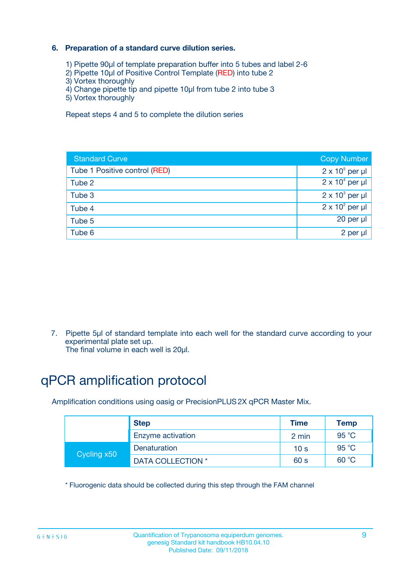### **6. Preparation of a standard curve dilution series.**

- 1) Pipette 90µl of template preparation buffer into 5 tubes and label 2-6
- 2) Pipette 10µl of Positive Control Template (RED) into tube 2
- 3) Vortex thoroughly
- 4) Change pipette tip and pipette 10µl from tube 2 into tube 3
- 5) Vortex thoroughly

Repeat steps 4 and 5 to complete the dilution series

| <b>Standard Curve</b>         | <b>Copy Number</b>     |
|-------------------------------|------------------------|
| Tube 1 Positive control (RED) | $2 \times 10^5$ per µl |
| Tube 2                        | $2 \times 10^4$ per µl |
| Tube 3                        | $2 \times 10^3$ per µl |
| Tube 4                        | $2 \times 10^2$ per µl |
| Tube 5                        | 20 per µl              |
| Tube 6                        | 2 per ul               |

7. Pipette 5µl of standard template into each well for the standard curve according to your experimental plate set up.

The final volume in each well is 20µl.

## qPCR amplification protocol

Amplification conditions using oasig or PrecisionPLUS2X qPCR Master Mix.

|             | <b>Step</b>       | <b>Time</b>     | Temp           |
|-------------|-------------------|-----------------|----------------|
|             | Enzyme activation | 2 min           | $95^{\circ}$ C |
| Cycling x50 | Denaturation      | 10 <sub>s</sub> | 95 $°C$        |
|             | DATA COLLECTION * | 60 s            | 60 °C          |

\* Fluorogenic data should be collected during this step through the FAM channel